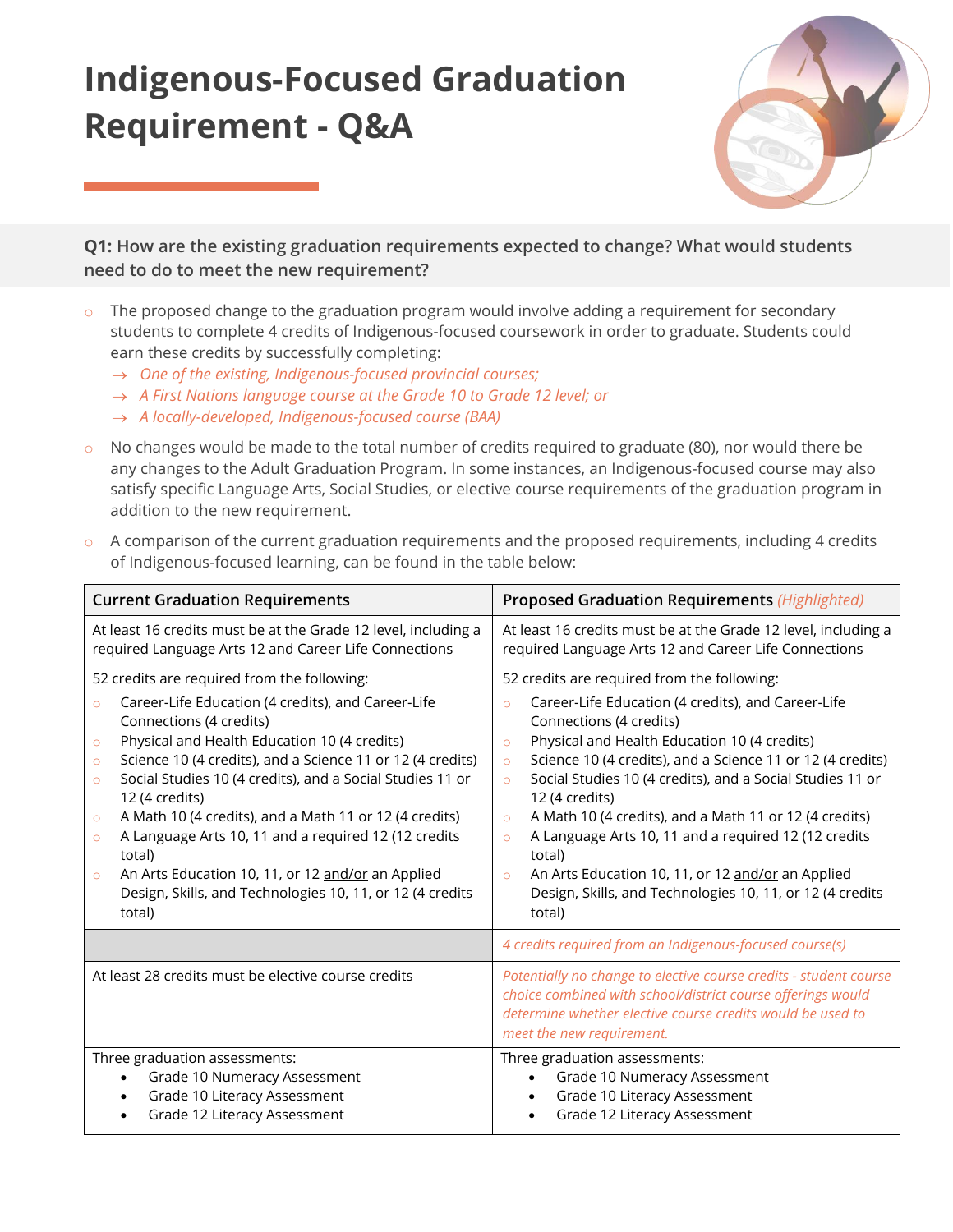# **Indigenous-Focused Graduation Requirement - Q&A**



**Q1: How are the existing graduation requirements expected to change? What would students need to do to meet the new requirement?**

- The proposed change to the graduation program would involve adding a requirement for secondary students to complete 4 credits of Indigenous-focused coursework in order to graduate. Students could earn these credits by successfully completing:
	- → *One of the existing, Indigenous-focused provincial courses;*
	- → *A First Nations language course at the Grade 10 to Grade 12 level; or*
	- → *A locally-developed, Indigenous-focused course (BAA)*
- $\circ$  No changes would be made to the total number of credits required to graduate (80), nor would there be any changes to the Adult Graduation Program. In some instances, an Indigenous-focused course may also satisfy specific Language Arts, Social Studies, or elective course requirements of the graduation program in addition to the new requirement.
- $\circ$  A comparison of the current graduation requirements and the proposed requirements, including 4 credits of Indigenous-focused learning, can be found in the table below:

| <b>Current Graduation Requirements</b>                                                                                                                                                                                                                                                                                                                                                                                                                                                                                                                                                                                                                         | <b>Proposed Graduation Requirements (Highlighted)</b>                                                                                                                                                                                                                                                                                                                                                                                                                                                                                                                                                                                                          |
|----------------------------------------------------------------------------------------------------------------------------------------------------------------------------------------------------------------------------------------------------------------------------------------------------------------------------------------------------------------------------------------------------------------------------------------------------------------------------------------------------------------------------------------------------------------------------------------------------------------------------------------------------------------|----------------------------------------------------------------------------------------------------------------------------------------------------------------------------------------------------------------------------------------------------------------------------------------------------------------------------------------------------------------------------------------------------------------------------------------------------------------------------------------------------------------------------------------------------------------------------------------------------------------------------------------------------------------|
| At least 16 credits must be at the Grade 12 level, including a<br>required Language Arts 12 and Career Life Connections                                                                                                                                                                                                                                                                                                                                                                                                                                                                                                                                        | At least 16 credits must be at the Grade 12 level, including a<br>required Language Arts 12 and Career Life Connections                                                                                                                                                                                                                                                                                                                                                                                                                                                                                                                                        |
| 52 credits are required from the following:<br>Career-Life Education (4 credits), and Career-Life<br>$\circ$<br>Connections (4 credits)<br>Physical and Health Education 10 (4 credits)<br>$\circ$<br>Science 10 (4 credits), and a Science 11 or 12 (4 credits)<br>$\circ$<br>Social Studies 10 (4 credits), and a Social Studies 11 or<br>$\circ$<br>12 (4 credits)<br>A Math 10 (4 credits), and a Math 11 or 12 (4 credits)<br>$\circ$<br>A Language Arts 10, 11 and a required 12 (12 credits<br>$\circ$<br>total)<br>An Arts Education 10, 11, or 12 and/or an Applied<br>$\circ$<br>Design, Skills, and Technologies 10, 11, or 12 (4 credits<br>total) | 52 credits are required from the following:<br>Career-Life Education (4 credits), and Career-Life<br>$\circ$<br>Connections (4 credits)<br>Physical and Health Education 10 (4 credits)<br>$\circ$<br>Science 10 (4 credits), and a Science 11 or 12 (4 credits)<br>$\circ$<br>Social Studies 10 (4 credits), and a Social Studies 11 or<br>$\circ$<br>12 (4 credits)<br>A Math 10 (4 credits), and a Math 11 or 12 (4 credits)<br>$\circ$<br>A Language Arts 10, 11 and a required 12 (12 credits<br>$\circ$<br>total)<br>An Arts Education 10, 11, or 12 and/or an Applied<br>$\circ$<br>Design, Skills, and Technologies 10, 11, or 12 (4 credits<br>total) |
|                                                                                                                                                                                                                                                                                                                                                                                                                                                                                                                                                                                                                                                                | 4 credits required from an Indigenous-focused course(s)                                                                                                                                                                                                                                                                                                                                                                                                                                                                                                                                                                                                        |
| At least 28 credits must be elective course credits                                                                                                                                                                                                                                                                                                                                                                                                                                                                                                                                                                                                            | Potentially no change to elective course credits - student course<br>choice combined with school/district course offerings would<br>determine whether elective course credits would be used to<br>meet the new requirement.                                                                                                                                                                                                                                                                                                                                                                                                                                    |
| Three graduation assessments:<br>Grade 10 Numeracy Assessment<br>$\bullet$<br>Grade 10 Literacy Assessment<br>$\bullet$<br>Grade 12 Literacy Assessment<br>$\bullet$                                                                                                                                                                                                                                                                                                                                                                                                                                                                                           | Three graduation assessments:<br>Grade 10 Numeracy Assessment<br>Grade 10 Literacy Assessment<br>Grade 12 Literacy Assessment                                                                                                                                                                                                                                                                                                                                                                                                                                                                                                                                  |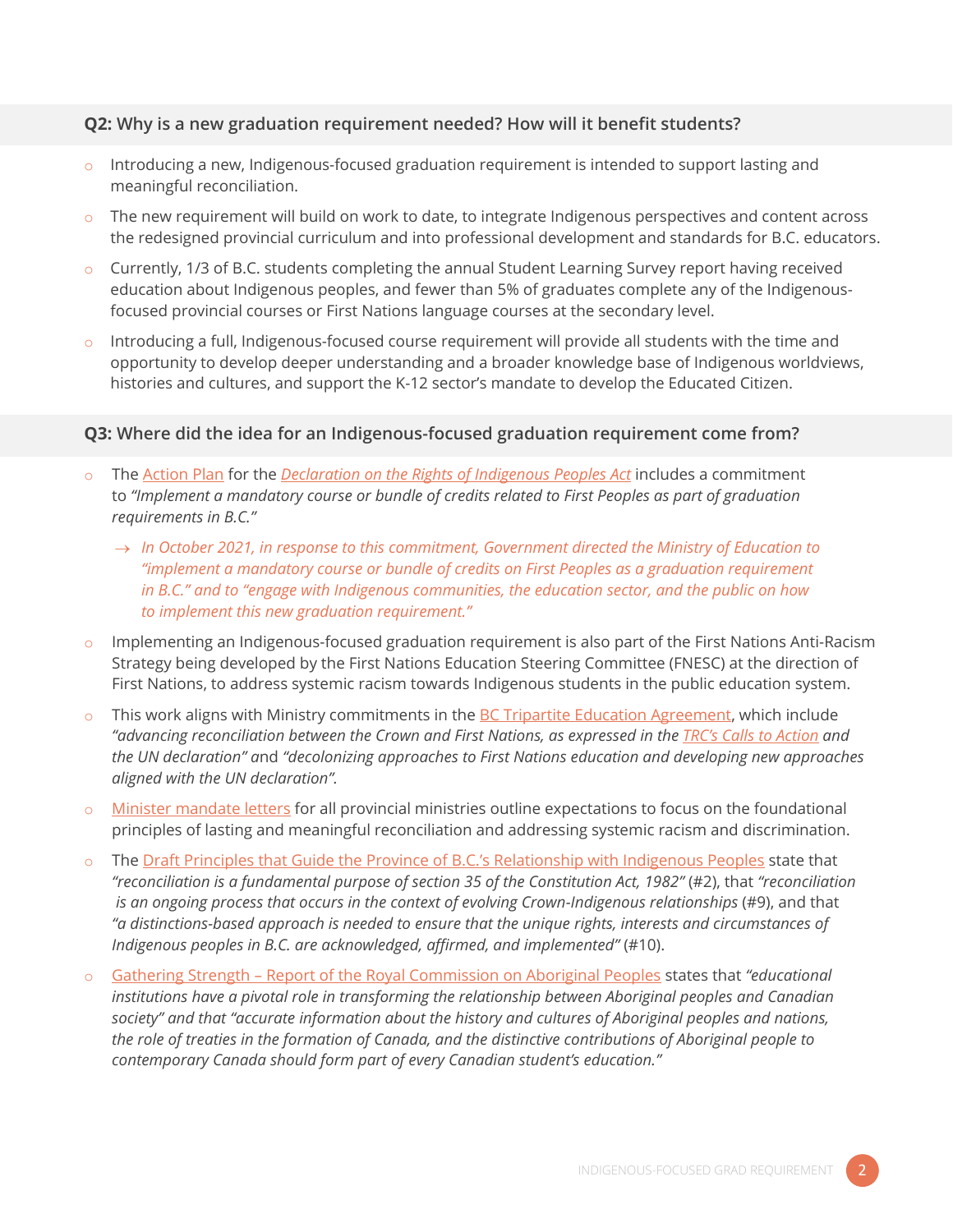## **Q2: Why is a new graduation requirement needed? How will it benefit students?**

- $\circ$  Introducing a new, Indigenous-focused graduation requirement is intended to support lasting and meaningful reconciliation.
- The new requirement will build on work to date, to integrate Indigenous perspectives and content across the redesigned provincial curriculum and into professional development and standards for B.C. educators.
- o Currently, 1/3 of B.C. students completing the annual Student Learning Survey report having received education about Indigenous peoples, and fewer than 5% of graduates complete any of the Indigenousfocused provincial courses or First Nations language courses at the secondary level.
- $\circ$  Introducing a full, Indigenous-focused course requirement will provide all students with the time and opportunity to develop deeper understanding and a broader knowledge base of Indigenous worldviews, histories and cultures, and support the K-12 sector's mandate to develop the Educated Citizen.

## **Q3: Where did the idea for an Indigenous-focused graduation requirement come from?**

- Th[e Action Plan](https://engage.gov.bc.ca/app/uploads/sites/121/2022/03/declaration_act_action_plan.pdf) for the *[Declaration on the Rights of Indigenous Peoples Act](https://www.bclaws.gov.bc.ca/civix/document/id/complete/statreg/19044)* includes a commitment to *"Implement a mandatory course or bundle of credits related to First Peoples as part of graduation requirements in B.C."*
	- → *In October 2021, in response to this commitment, Government directed the Ministry of Education to "implement a mandatory course or bundle of credits on First Peoples as a graduation requirement in B.C." and to "engage with Indigenous communities, the education sector, and the public on how to implement this new graduation requirement."*
- o Implementing an Indigenous-focused graduation requirement is also part of the First Nations Anti-Racism Strategy being developed by the First Nations Education Steering Committee (FNESC) at the direction of First Nations, to address systemic racism towards Indigenous students in the public education system.
- $\circ$  This work aligns with Ministry commitments in the [BC Tripartite Education Agreement,](https://www2.gov.bc.ca/assets/gov/education/ways-to-learn/aboriginal-education/bc-tripartite-education-agreement.pdf) which include "advancing reconciliation between the Crown and First Nations, as expressed in the *[TRC's Calls to Action](https://www.rcaanc-cirnac.gc.ca/eng/1524504501233/1557513602139)* and *the UN declaration" a*nd *"decolonizing approaches to First Nations education and developing new approaches aligned with the UN declaration".*
- o [Minister mandate letters](https://www2.gov.bc.ca/gov/content/governments/organizational-structure/cabinet/cabinet-ministers) for all provincial ministries outline expectations to focus on the foundational principles of lasting and meaningful reconciliation and addressing systemic racism and discrimination.
- The Draft Principles that Guide the Province [of B.C.'s Relationship with Indigenous Peoples](https://www2.gov.bc.ca/assets/gov/careers/about-the-bc-public-service/diversity-inclusion-respect/draft_principles.pdf) state that *"reconciliation is a fundamental purpose of section 35 of the Constitution Act, 1982" (#2), that "reconciliation is an ongoing process that occurs in the context of evolving Crown-Indigenous relationships* (#9), and that *"a distinctions-based approach is needed to ensure that the unique rights, interests and circumstances of Indigenous peoples in B.C. are acknowledged, affirmed, and implemented"* (#10).
- Gathering Strength [Report of the Royal Commission on Aboriginal Peoples](http://data2.archives.ca/e/e448/e011188230-03.pdf) states that "educational *institutions have a pivotal role in transforming the relationship between Aboriginal peoples and Canadian society" and that "accurate information about the history and cultures of Aboriginal peoples and nations, the role of treaties in the formation of Canada, and the distinctive contributions of Aboriginal people to contemporary Canada should form part of every Canadian student's education."*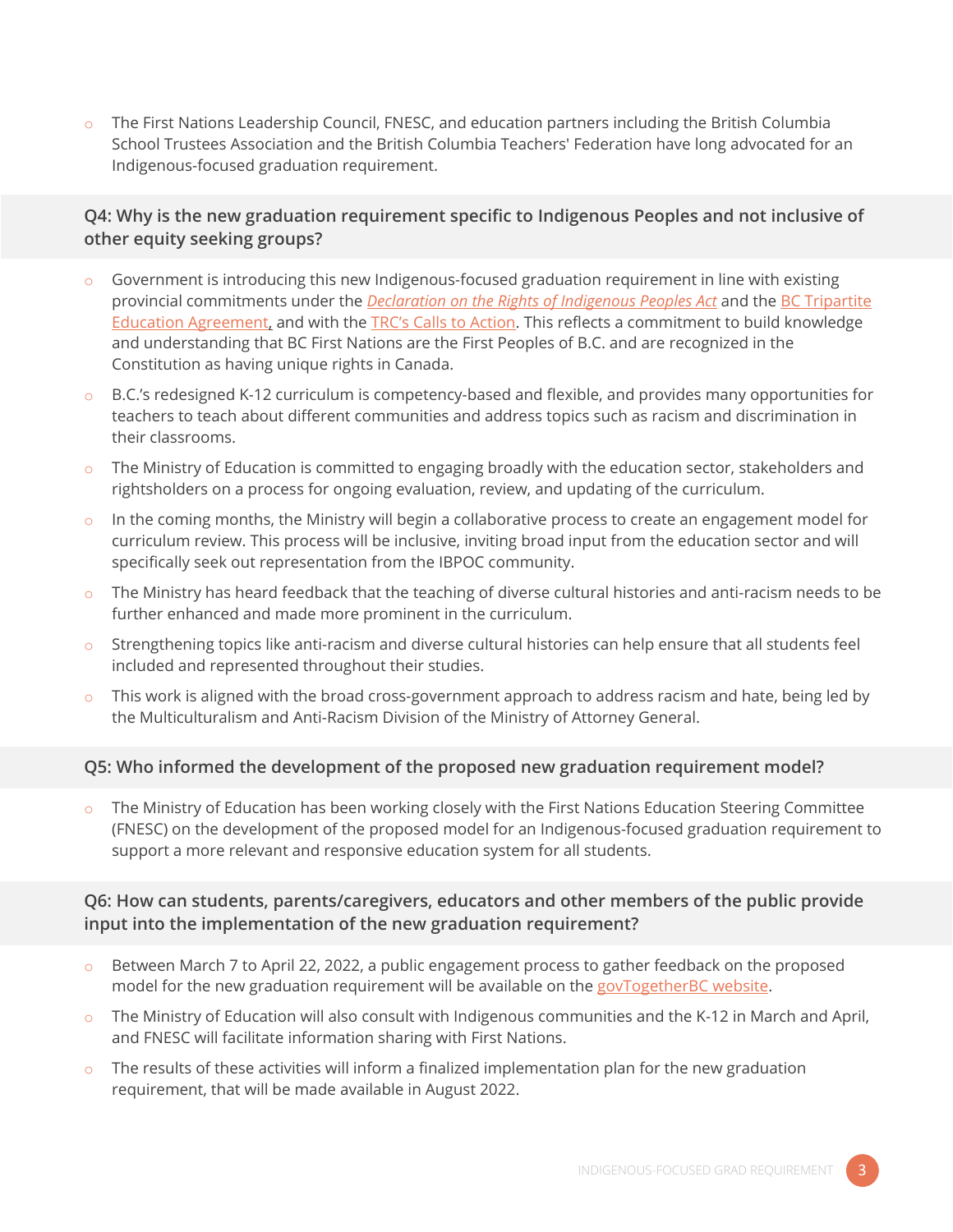The First Nations Leadership Council, FNESC, and education partners including the British Columbia School Trustees Association and the British Columbia Teachers' Federation have long advocated for an Indigenous-focused graduation requirement.

# **Q4: Why is the new graduation requirement specific to Indigenous Peoples and not inclusive of other equity seeking groups?**

- $\circ$  Government is introducing this new Indigenous-focused graduation requirement in line with existing provincial commitments under the *[Declaration on the Rights of Indigenous Peoples Act](https://www.bclaws.gov.bc.ca/civix/document/id/complete/statreg/19044)* and th[e BC Tripartite](https://www2.gov.bc.ca/assets/gov/education/ways-to-learn/aboriginal-education/bc-tripartite-education-agreement.pdf)  [Education Agreement,](https://www2.gov.bc.ca/assets/gov/education/ways-to-learn/aboriginal-education/bc-tripartite-education-agreement.pdf) and with the [TRC's Calls to Action](https://www.rcaanc-cirnac.gc.ca/eng/1524504501233/1557513602139). This reflects a commitment to build knowledge and understanding that BC First Nations are the First Peoples of B.C. and are recognized in the Constitution as having unique rights in Canada.
- o B.C.'s redesigned K-12 curriculum is competency-based and flexible, and provides many opportunities for teachers to teach about different communities and address topics such as racism and discrimination in their classrooms.
- $\circ$  The Ministry of Education is committed to engaging broadly with the education sector, stakeholders and rightsholders on a process for ongoing evaluation, review, and updating of the curriculum.
- $\circ$  In the coming months, the Ministry will begin a collaborative process to create an engagement model for curriculum review. This process will be inclusive, inviting broad input from the education sector and will specifically seek out representation from the IBPOC community.
- $\circ$  The Ministry has heard feedback that the teaching of diverse cultural histories and anti-racism needs to be further enhanced and made more prominent in the curriculum.
- Strengthening topics like anti-racism and diverse cultural histories can help ensure that all students feel included and represented throughout their studies.
- $\circ$  This work is aligned with the broad cross-government approach to address racism and hate, being led by the Multiculturalism and Anti-Racism Division of the Ministry of Attorney General.

# **Q5: Who informed the development of the proposed new graduation requirement model?**

The Ministry of Education has been working closely with the First Nations Education Steering Committee (FNESC) on the development of the proposed model for an Indigenous-focused graduation requirement to support a more relevant and responsive education system for all students.

# **Q6: How can students, parents/caregivers, educators and other members of the public provide input into the implementation of the new graduation requirement?**

- o Between March 7 to April 22, 2022, a public engagement process to gather feedback on the proposed model for the new graduation requirement will be available on the [govTogetherBC website.](https://engage.gov.bc.ca/Indigenousgradrequirement)
- The Ministry of Education will also consult with Indigenous communities and the K-12 in March and April, and FNESC will facilitate information sharing with First Nations.
- $\circ$  The results of these activities will inform a finalized implementation plan for the new graduation requirement, that will be made available in August 2022.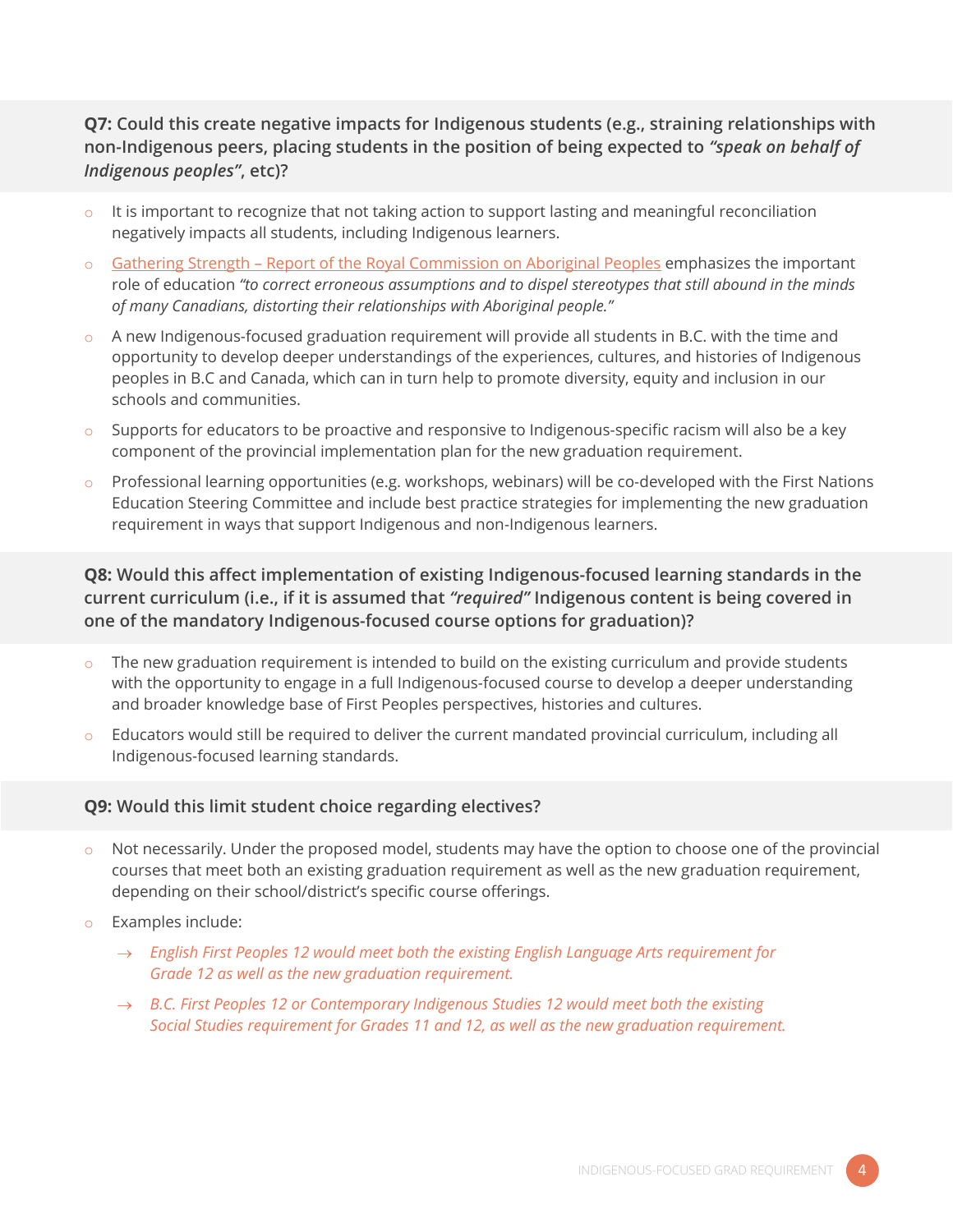# **Q7: Could this create negative impacts for Indigenous students (e.g., straining relationships with non-Indigenous peers, placing students in the position of being expected to** *"speak on behalf of Indigenous peoples"***, etc)?**

- $\circ$  It is important to recognize that not taking action to support lasting and meaningful reconciliation negatively impacts all students, including Indigenous learners.
- o Gathering Strength [Report of the Royal Commission on Aboriginal Peoples](http://data2.archives.ca/e/e448/e011188230-03.pdf) emphasizes the important role of education *"to correct erroneous assumptions and to dispel stereotypes that still abound in the minds of many Canadians, distorting their relationships with Aboriginal people."*
- $\circ$  A new Indigenous-focused graduation requirement will provide all students in B.C. with the time and opportunity to develop deeper understandings of the experiences, cultures, and histories of Indigenous peoples in B.C and Canada, which can in turn help to promote diversity, equity and inclusion in our schools and communities.
- $\circ$  Supports for educators to be proactive and responsive to Indigenous-specific racism will also be a key component of the provincial implementation plan for the new graduation requirement.
- $\circ$  Professional learning opportunities (e.g. workshops, webinars) will be co-developed with the First Nations Education Steering Committee and include best practice strategies for implementing the new graduation requirement in ways that support Indigenous and non-Indigenous learners.

# **Q8: Would this affect implementation of existing Indigenous-focused learning standards in the current curriculum (i.e., if it is assumed that** *"required"* **Indigenous content is being covered in one of the mandatory Indigenous-focused course options for graduation)?**

- $\circ$  The new graduation requirement is intended to build on the existing curriculum and provide students with the opportunity to engage in a full Indigenous-focused course to develop a deeper understanding and broader knowledge base of First Peoples perspectives, histories and cultures.
- o Educators would still be required to deliver the current mandated provincial curriculum, including all Indigenous-focused learning standards.

## **Q9: Would this limit student choice regarding electives?**

- $\circ$  Not necessarily. Under the proposed model, students may have the option to choose one of the provincial courses that meet both an existing graduation requirement as well as the new graduation requirement, depending on their school/district's specific course offerings.
- o Examples include:
	- → *English First Peoples 12 would meet both the existing English Language Arts requirement for Grade 12 as well as the new graduation requirement.*
	- → *B.C. First Peoples 12 or Contemporary Indigenous Studies 12 would meet both the existing Social Studies requirement for Grades 11 and 12, as well as the new graduation requirement.*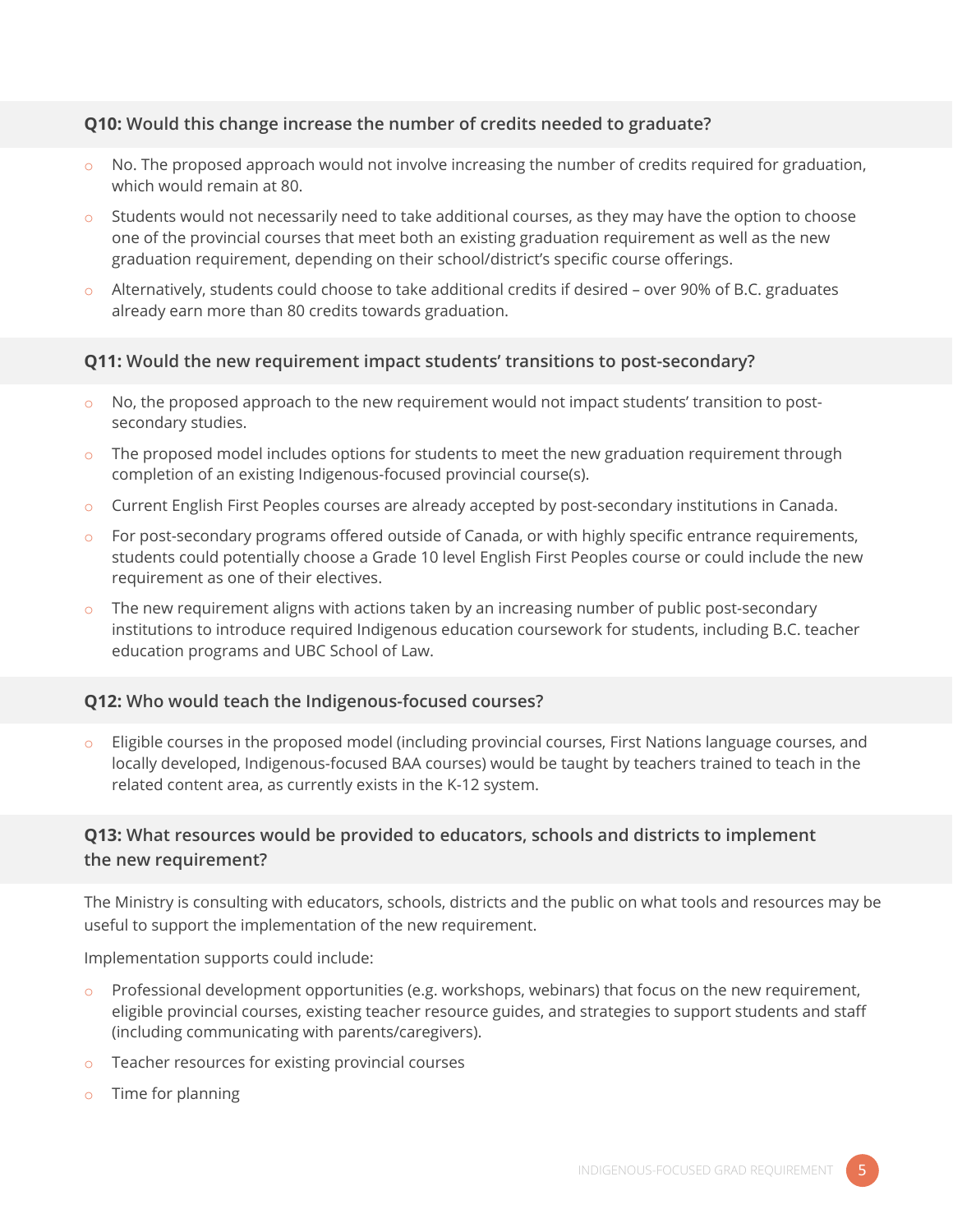# **Q10: Would this change increase the number of credits needed to graduate?**

- $\circ$  No. The proposed approach would not involve increasing the number of credits required for graduation, which would remain at 80.
- Students would not necessarily need to take additional courses, as they may have the option to choose one of the provincial courses that meet both an existing graduation requirement as well as the new graduation requirement, depending on their school/district's specific course offerings.
- $\circ$  Alternatively, students could choose to take additional credits if desired over 90% of B.C. graduates already earn more than 80 credits towards graduation.

## **Q11: Would the new requirement impact students' transitions to post-secondary?**

- No, the proposed approach to the new requirement would not impact students' transition to postsecondary studies.
- o The proposed model includes options for students to meet the new graduation requirement through completion of an existing Indigenous-focused provincial course(s).
- o Current English First Peoples courses are already accepted by post-secondary institutions in Canada.
- $\circ$  For post-secondary programs offered outside of Canada, or with highly specific entrance requirements, students could potentially choose a Grade 10 level English First Peoples course or could include the new requirement as one of their electives.
- $\circ$  The new requirement aligns with actions taken by an increasing number of public post-secondary institutions to introduce required Indigenous education coursework for students, including B.C. teacher education programs and UBC School of Law.

## **Q12: Who would teach the Indigenous-focused courses?**

Eligible courses in the proposed model (including provincial courses, First Nations language courses, and locally developed, Indigenous-focused BAA courses) would be taught by teachers trained to teach in the related content area, as currently exists in the K-12 system.

# **Q13: What resources would be provided to educators, schools and districts to implement the new requirement?**

The Ministry is consulting with educators, schools, districts and the public on what tools and resources may be useful to support the implementation of the new requirement.

Implementation supports could include:

- $\circ$  Professional development opportunities (e.g. workshops, webinars) that focus on the new requirement, eligible provincial courses, existing teacher resource guides, and strategies to support students and staff (including communicating with parents/caregivers).
- o Teacher resources for existing provincial courses
- o Time for planning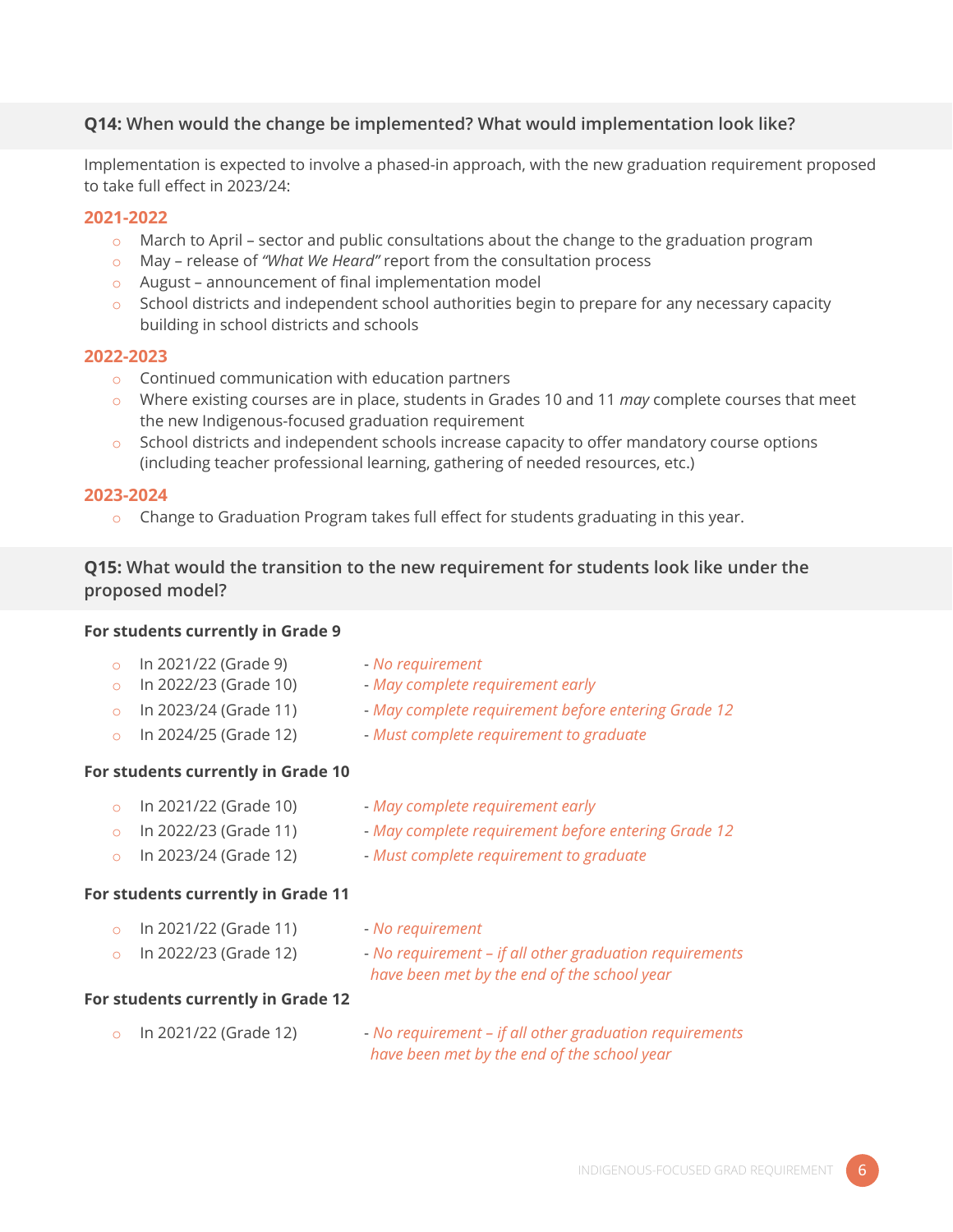# **Q14: When would the change be implemented? What would implementation look like?**

Implementation is expected to involve a phased-in approach, with the new graduation requirement proposed to take full effect in 2023/24:

#### **2021-2022**

- $\circ$  March to April sector and public consultations about the change to the graduation program
- o May release of *"What We Heard"* report from the consultation process
- o August announcement of final implementation model
- $\circ$  School districts and independent school authorities begin to prepare for any necessary capacity building in school districts and schools

#### **2022-2023**

- o Continued communication with education partners
- o Where existing courses are in place, students in Grades 10 and 11 *may* complete courses that meet the new Indigenous-focused graduation requirement
- $\circ$  School districts and independent schools increase capacity to offer mandatory course options (including teacher professional learning, gathering of needed resources, etc.)

#### **2023-2024**

 $\circ$  Change to Graduation Program takes full effect for students graduating in this year.

# **Q15: What would the transition to the new requirement for students look like under the proposed model?**

#### **For students currently in Grade 9**

| In 2021/22 (Grade 9) |  |
|----------------------|--|
|----------------------|--|

- o In 2021/22 (Grade 9) *No requirement*
- o In 2022/23 (Grade 10) *May complete requirement early*
- o In 2023/24 (Grade 11) *May complete requirement before entering Grade 12*
- o In 2024/25 (Grade 12) *Must complete requirement to graduate*
- 

#### **For students currently in Grade 10**

- o In 2021/22 (Grade 10) *May complete requirement early*
- o In 2022/23 (Grade 11) *May complete requirement before entering Grade 12*
- 
- o In 2023/24 (Grade 12) *Must complete requirement to graduate*

#### **For students currently in Grade 11**

- o In 2021/22 (Grade 11) *No requirement*
- o In 2022/23 (Grade 12) *No requirement – if all other graduation requirements*
- - *have been met by the end of the school year*

#### **For students currently in Grade 12**

o In 2021/22 (Grade 12) - *No requirement – if all other graduation requirements have been met by the end of the school year*